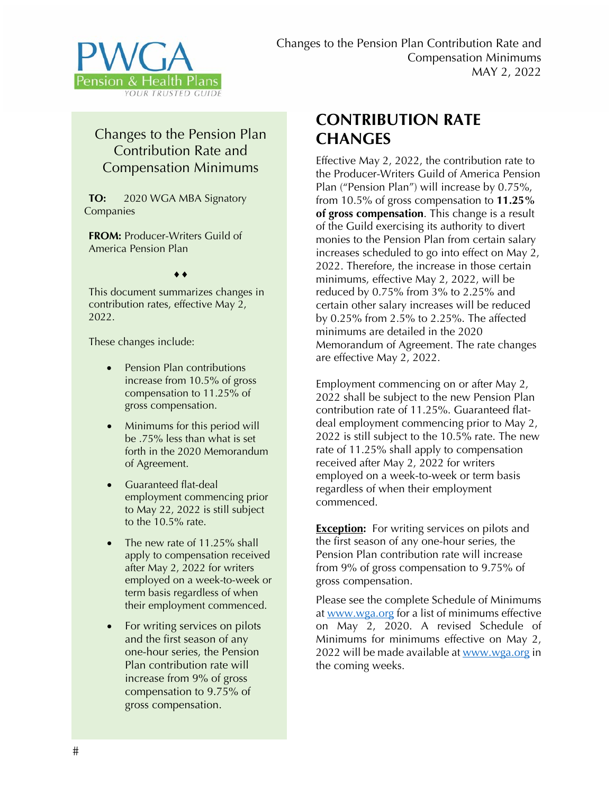

## Changes to the Pension Plan Contribution Rate and Compensation Minimums

**TO:** 2020 WGA MBA Signatory Companies

**FROM:** Producer-Writers Guild of America Pension Plan

 $\blacklozenge$   $\blacklozenge$ 

This document summarizes changes in contribution rates, effective May 2, 2022.

These changes include:

- Pension Plan contributions increase from 10.5% of gross compensation to 11.25% of gross compensation.
- Minimums for this period will be .75% less than what is set forth in the 2020 Memorandum of Agreement.
- Guaranteed flat-deal employment commencing prior to May 22, 2022 is still subject to the 10.5% rate.
- The new rate of 11.25% shall apply to compensation received after May 2, 2022 for writers employed on a week-to-week or term basis regardless of when their employment commenced.
- For writing services on pilots and the first season of any one-hour series, the Pension Plan contribution rate will increase from 9% of gross compensation to 9.75% of gross compensation.

## **CONTRIBUTION RATE CHANGES**

Effective May 2, 2022, the contribution rate to the Producer-Writers Guild of America Pension Plan ("Pension Plan") will increase by 0.75%, from 10.5% of gross compensation to **11.25% of gross compensation**. This change is a result of the Guild exercising its authority to divert monies to the Pension Plan from certain salary increases scheduled to go into effect on May 2, 2022. Therefore, the increase in those certain minimums, effective May 2, 2022, will be reduced by 0.75% from 3% to 2.25% and certain other salary increases will be reduced by 0.25% from 2.5% to 2.25%. The affected minimums are detailed in the 2020 Memorandum of Agreement. The rate changes are effective May 2, 2022.

Employment commencing on or after May 2, 2022 shall be subject to the new Pension Plan contribution rate of 11.25%. Guaranteed flatdeal employment commencing prior to May 2, 2022 is still subject to the 10.5% rate. The new rate of 11.25% shall apply to compensation received after May 2, 2022 for writers employed on a week-to-week or term basis regardless of when their employment commenced.

**Exception:** For writing services on pilots and the first season of any one-hour series, the Pension Plan contribution rate will increase from 9% of gross compensation to 9.75% of gross compensation.

Please see the complete Schedule of Minimums at www.wga.org for a list of minimums effective on May 2, 2020. A revised Schedule of Minimums for minimums effective on May 2, 2022 will be made available at www.wga.org in the coming weeks.